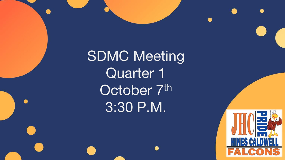**SDMC Meeting** Quarter 1 October 7th 3:30 P.M.

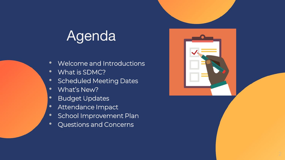# Agenda

- Welcome and Introductions
- What is SDMC?
- Scheduled Meeting Dates
- What's New?
- Budget Updates
- Attendance Impact
- School Improvement Plan
- Questions and Concerns

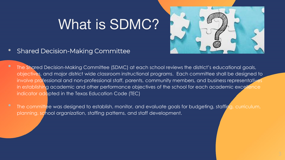# What is SDMC?



- Shared Decision-Making Committee
- The Shared Decision-Making Committee (SDMC) at each school reviews the district's educational goals, objectives, and major district wide classroom instructional programs. Each committee shall be designed to involve professional and non-professional staff, parents, community members, and business representatives in establishing academic and other performance objectives of the school for each academic excellence indicator adopted in the Texas Education Code (TEC)
- The committee was designed to establish, monitor, and evaluate goals for budgeting, staffing, curriculum, planning, school organization, staffing patterns, and staff development.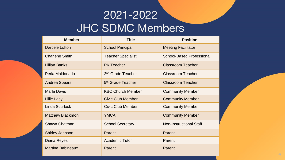#### 2021-2022 JHC SDMC Members

| <b>Member</b>            | <b>Title</b>                  | <b>Position</b>            |
|--------------------------|-------------------------------|----------------------------|
| Darcele Lofton           | <b>School Principal</b>       | <b>Meeting Facilitator</b> |
| <b>Charlene Smith</b>    | <b>Teacher Specialist</b>     | School-Based Professional  |
| Lillian Banks            | <b>PK Teacher</b>             | Classroom Teacher          |
| Perla Maldonado          | 2 <sup>nd</sup> Grade Teacher | <b>Classroom Teacher</b>   |
| <b>Andrea Spears</b>     | 5 <sup>th</sup> Grade Teacher | <b>Classroom Teacher</b>   |
| <b>Marla Davis</b>       | <b>KBC Church Member</b>      | <b>Community Member</b>    |
| Lillie Lacy              | <b>Civic Club Member</b>      | <b>Community Member</b>    |
| Linda Scurlock           | Civic Club Member             | <b>Community Member</b>    |
| Matthew Blackmon         | <b>YMCA</b>                   | <b>Community Member</b>    |
| Shawn Chatman            | <b>School Secretary</b>       | Non-Instructional Staff    |
| Shirley Johnson          | Parent                        | Parent                     |
| Diana Reyes              | <b>Academic Tutor</b>         | Parent                     |
| <b>Martina Babineaux</b> | Parent                        | Parent                     |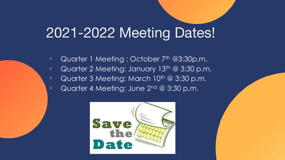#### 2021-2022 Meeting Dates!

- Quarter 1 Meeting : October 7<sup>th</sup> @3:30p.m.
- Quarter 2 Meeting: January 13th @ 3:30 p.m.
- Quarter 3 Meeting: March 10<sup>th</sup> @ 3:30 p.m.
- Quarter 4 Meeting: June 2nd @ 3:30 p.m.

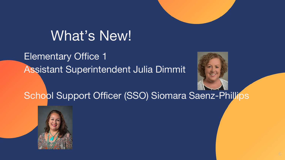

#### What's New!

Elementary Office 1 Assistant Superintendent Julia Dimmit



School Support Officer (SSO) Siomara Saenz-Phillips

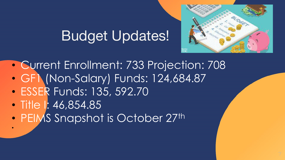## Budget Updates!



- Current Enrollment: 733 Projection: 708 • GF1 (Non-Salary) Funds: 124,684.87
- ESSER Funds: 135, 592.70
- Title I: 46,854.85

•

• PEIMS Snapshot is October 27th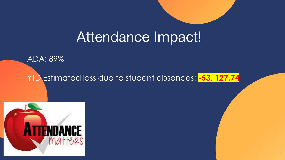#### Attendance Impact!

ADA: 89%

YTD Estimated loss due to student absences: **-53, 127.74**

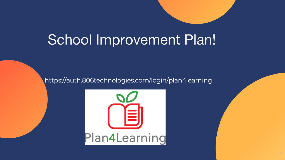## School Improvement Plan!

https://auth.806technologies.com/login/plan4learning

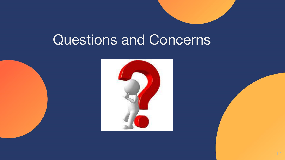### Questions and Concerns